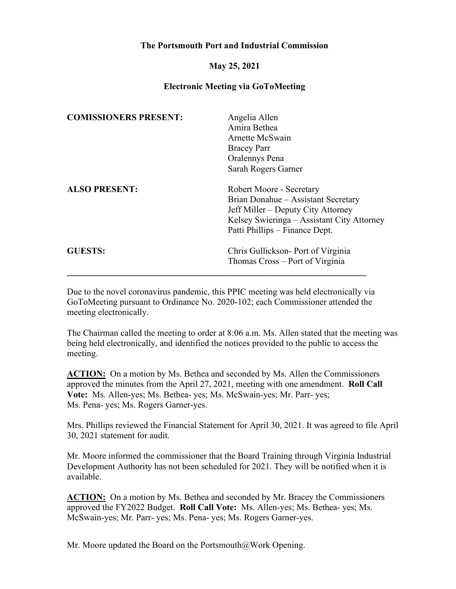## **The Portsmouth Port and Industrial Commission**

## **May 25, 2021**

## **Electronic Meeting via GoToMeeting**

| <b>COMISSIONERS PRESENT:</b> | Angelia Allen                              |
|------------------------------|--------------------------------------------|
|                              | Amira Bethea                               |
|                              | Arnette McSwain                            |
|                              | <b>Bracey Parr</b>                         |
|                              | Oralennys Pena                             |
|                              | Sarah Rogers Garner                        |
| <b>ALSO PRESENT:</b>         | Robert Moore - Secretary                   |
|                              | Brian Donahue - Assistant Secretary        |
|                              | Jeff Miller – Deputy City Attorney         |
|                              | Kelsey Swieringa – Assistant City Attorney |
|                              | Patti Phillips – Finance Dept.             |
| <b>GUESTS:</b>               | Chris Gullickson- Port of Virginia         |
|                              | Thomas Cross – Port of Virginia            |
|                              |                                            |

Due to the novel coronavirus pandemic, this PPIC meeting was held electronically via GoToMeeting pursuant to Ordinance No. 2020-102; each Commissioner attended the meeting electronically.

The Chairman called the meeting to order at 8:06 a.m. Ms. Allen stated that the meeting was being held electronically, and identified the notices provided to the public to access the meeting.

**ACTION:** On a motion by Ms. Bethea and seconded by Ms. Allen the Commissioners approved the minutes from the April 27, 2021, meeting with one amendment. **Roll Call Vote:** Ms. Allen-yes; Ms. Bethea- yes; Ms. McSwain-yes; Mr. Parr- yes; Ms. Pena- yes; Ms. Rogers Garner-yes.

Mrs. Phillips reviewed the Financial Statement for April 30, 2021. It was agreed to file April 30, 2021 statement for audit.

Mr. Moore informed the commissioner that the Board Training through Virginia Industrial Development Authority has not been scheduled for 2021. They will be notified when it is available.

**ACTION:** On a motion by Ms. Bethea and seconded by Mr. Bracey the Commissioners approved the FY2022 Budget. **Roll Call Vote:** Ms. Allen-yes; Ms. Bethea- yes; Ms. McSwain-yes; Mr. Parr- yes; Ms. Pena- yes; Ms. Rogers Garner-yes.

Mr. Moore updated the Board on the Portsmouth@Work Opening.